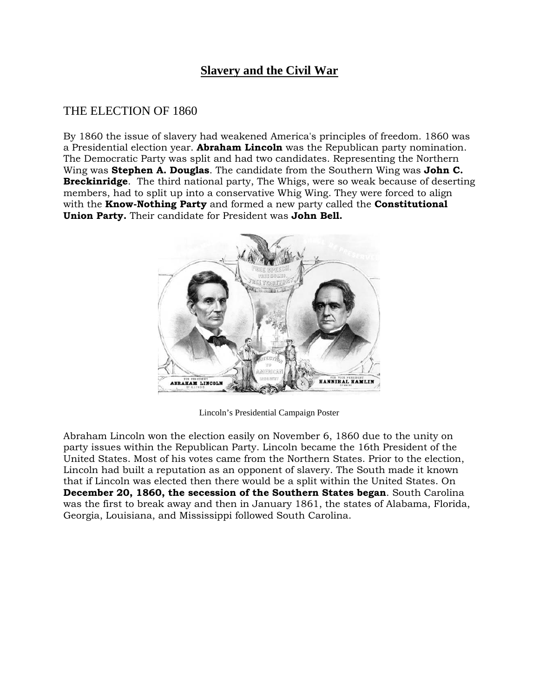# **Slavery and the Civil War**

## THE ELECTION OF 1860

By 1860 the issue of slavery had weakened America's principles of freedom. 1860 was a Presidential election year. **Abraham Lincoln** was the Republican party nomination. The Democratic Party was split and had two candidates. Representing the Northern Wing was **Stephen A. Douglas**. The candidate from the Southern Wing was **John C. Breckinridge**. The third national party, The Whigs, were so weak because of deserting members, had to split up into a conservative Whig Wing. They were forced to align with the **Know-Nothing Party** and formed a new party called the **Constitutional Union Party.** Their candidate for President was **John Bell.**



Lincoln's Presidential Campaign Poster

Abraham Lincoln won the election easily on November 6, 1860 due to the unity on party issues within the Republican Party. Lincoln became the 16th President of the United States. Most of his votes came from the Northern States. Prior to the election, Lincoln had built a reputation as an opponent of slavery. The South made it known that if Lincoln was elected then there would be a split within the United States. On **December 20, 1860, the secession of the Southern States began**. South Carolina was the first to break away and then in January 1861, the states of Alabama, Florida, Georgia, Louisiana, and Mississippi followed South Carolina.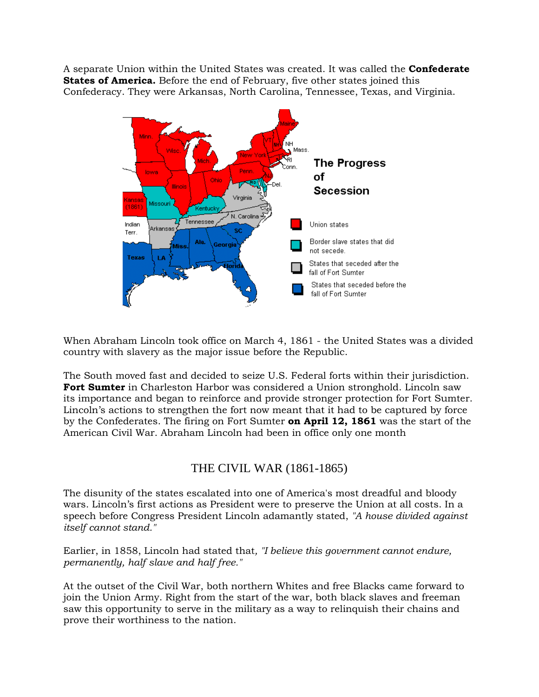A separate Union within the United States was created. It was called the **Confederate States of America.** Before the end of February, five other states joined this Confederacy. They were Arkansas, North Carolina, Tennessee, Texas, and Virginia.



When Abraham Lincoln took office on March 4, 1861 - the United States was a divided country with slavery as the major issue before the Republic.

The South moved fast and decided to seize U.S. Federal forts within their jurisdiction. **Fort Sumter** in Charleston Harbor was considered a Union stronghold. Lincoln saw its importance and began to reinforce and provide stronger protection for Fort Sumter. Lincoln's actions to strengthen the fort now meant that it had to be captured by force by the Confederates. The firing on Fort Sumter **on April 12, 1861** was the start of the American Civil War. Abraham Lincoln had been in office only one month

## THE CIVIL WAR (1861-1865)

The disunity of the states escalated into one of America's most dreadful and bloody wars. Lincoln's first actions as President were to preserve the Union at all costs. In a speech before Congress President Lincoln adamantly stated, *"A house divided against itself cannot stand."* 

Earlier, in 1858, Lincoln had stated that*, "I believe this government cannot endure, permanently, half slave and half free."* 

At the outset of the Civil War, both northern Whites and free Blacks came forward to join the Union Army. Right from the start of the war, both black slaves and freeman saw this opportunity to serve in the military as a way to relinquish their chains and prove their worthiness to the nation.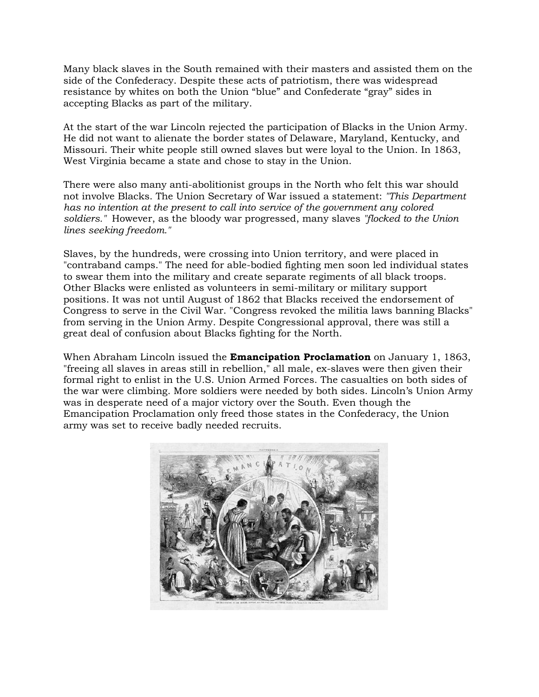Many black slaves in the South remained with their masters and assisted them on the side of the Confederacy. Despite these acts of patriotism, there was widespread resistance by whites on both the Union "blue" and Confederate "gray" sides in accepting Blacks as part of the military.

At the start of the war Lincoln rejected the participation of Blacks in the Union Army. He did not want to alienate the border states of Delaware, Maryland, Kentucky, and Missouri. Their white people still owned slaves but were loyal to the Union. In 1863, West Virginia became a state and chose to stay in the Union.

There were also many anti-abolitionist groups in the North who felt this war should not involve Blacks. The Union Secretary of War issued a statement: *"This Department has no intention at the present to call into service of the government any colored soldiers."* However, as the bloody war progressed, many slaves *"flocked to the Union lines seeking freedom."*

Slaves, by the hundreds, were crossing into Union territory, and were placed in "contraband camps." The need for able-bodied fighting men soon led individual states to swear them into the military and create separate regiments of all black troops. Other Blacks were enlisted as volunteers in semi-military or military support positions. It was not until August of 1862 that Blacks received the endorsement of Congress to serve in the Civil War. "Congress revoked the militia laws banning Blacks" from serving in the Union Army. Despite Congressional approval, there was still a great deal of confusion about Blacks fighting for the North.

When Abraham Lincoln issued the **Emancipation Proclamation** on January 1, 1863, "freeing all slaves in areas still in rebellion," all male, ex-slaves were then given their formal right to enlist in the U.S. Union Armed Forces. The casualties on both sides of the war were climbing. More soldiers were needed by both sides. Lincoln's Union Army was in desperate need of a major victory over the South. Even though the Emancipation Proclamation only freed those states in the Confederacy, the Union army was set to receive badly needed recruits.

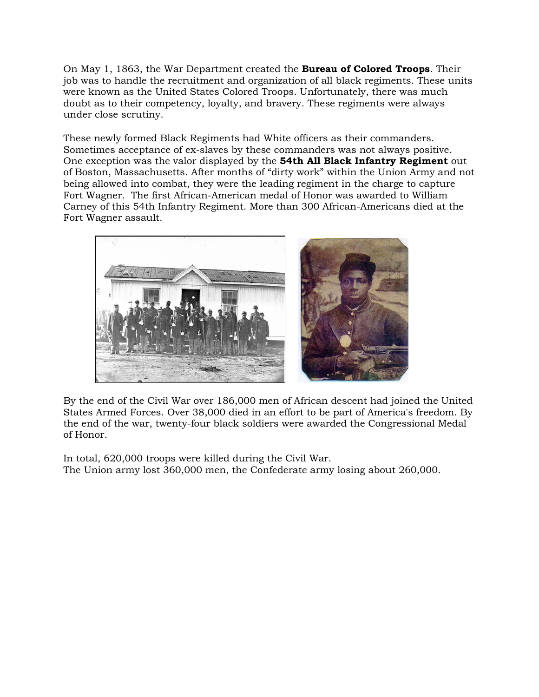On May 1, 1863, the War Department created the **Bureau of Colored Troops**. Their job was to handle the recruitment and organization of all black regiments. These units were known as the United States Colored Troops. Unfortunately, there was much doubt as to their competency, loyalty, and bravery. These regiments were always under close scrutiny.

These newly formed Black Regiments had White officers as their commanders. Sometimes acceptance of ex-slaves by these commanders was not always positive. One exception was the valor displayed by the **54th All Black Infantry Regiment** out of Boston, Massachusetts. After months of "dirty work" within the Union Army and not being allowed into combat, they were the leading regiment in the charge to capture Fort Wagner. The first African-American medal of Honor was awarded to William Carney of this 54th Infantry Regiment. More than 300 African-Americans died at the Fort Wagner assault.



By the end of the Civil War over 186,000 men of African descent had joined the United States Armed Forces. Over 38,000 died in an effort to be part of America's freedom. By the end of the war, twenty-four black soldiers were awarded the Congressional Medal of Honor.

In total, 620,000 troops were killed during the Civil War. The Union army lost 360,000 men, the Confederate army losing about 260,000.